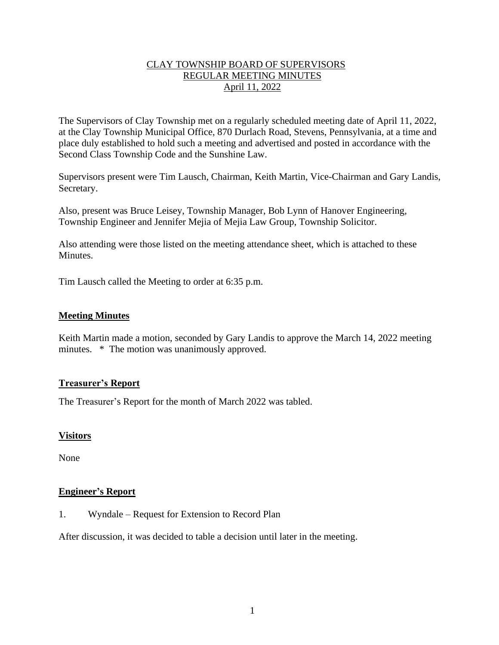# CLAY TOWNSHIP BOARD OF SUPERVISORS REGULAR MEETING MINUTES April 11, 2022

The Supervisors of Clay Township met on a regularly scheduled meeting date of April 11, 2022, at the Clay Township Municipal Office, 870 Durlach Road, Stevens, Pennsylvania, at a time and place duly established to hold such a meeting and advertised and posted in accordance with the Second Class Township Code and the Sunshine Law.

Supervisors present were Tim Lausch, Chairman, Keith Martin, Vice-Chairman and Gary Landis, Secretary.

Also, present was Bruce Leisey, Township Manager, Bob Lynn of Hanover Engineering, Township Engineer and Jennifer Mejia of Mejia Law Group, Township Solicitor.

Also attending were those listed on the meeting attendance sheet, which is attached to these Minutes.

Tim Lausch called the Meeting to order at 6:35 p.m.

## **Meeting Minutes**

Keith Martin made a motion, seconded by Gary Landis to approve the March 14, 2022 meeting minutes.  $*$  The motion was unanimously approved.

## **Treasurer's Report**

The Treasurer's Report for the month of March 2022 was tabled.

## **Visitors**

None

#### **Engineer's Report**

1. Wyndale – Request for Extension to Record Plan

After discussion, it was decided to table a decision until later in the meeting.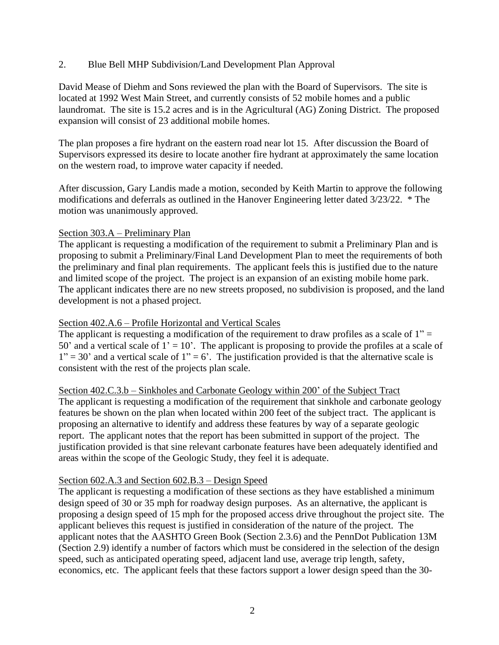## 2. Blue Bell MHP Subdivision/Land Development Plan Approval

David Mease of Diehm and Sons reviewed the plan with the Board of Supervisors. The site is located at 1992 West Main Street, and currently consists of 52 mobile homes and a public laundromat. The site is 15.2 acres and is in the Agricultural (AG) Zoning District. The proposed expansion will consist of 23 additional mobile homes.

The plan proposes a fire hydrant on the eastern road near lot 15. After discussion the Board of Supervisors expressed its desire to locate another fire hydrant at approximately the same location on the western road, to improve water capacity if needed.

After discussion, Gary Landis made a motion, seconded by Keith Martin to approve the following modifications and deferrals as outlined in the Hanover Engineering letter dated 3/23/22. \* The motion was unanimously approved.

## Section 303.A – Preliminary Plan

The applicant is requesting a modification of the requirement to submit a Preliminary Plan and is proposing to submit a Preliminary/Final Land Development Plan to meet the requirements of both the preliminary and final plan requirements. The applicant feels this is justified due to the nature and limited scope of the project. The project is an expansion of an existing mobile home park. The applicant indicates there are no new streets proposed, no subdivision is proposed, and the land development is not a phased project.

# Section 402.A.6 – Profile Horizontal and Vertical Scales

The applicant is requesting a modification of the requirement to draw profiles as a scale of  $1"$  = 50' and a vertical scale of  $1' = 10'$ . The applicant is proposing to provide the profiles at a scale of  $1" = 30"$  and a vertical scale of  $1" = 6"$ . The justification provided is that the alternative scale is consistent with the rest of the projects plan scale.

Section 402.C.3.b – Sinkholes and Carbonate Geology within 200' of the Subject Tract The applicant is requesting a modification of the requirement that sinkhole and carbonate geology features be shown on the plan when located within 200 feet of the subject tract. The applicant is proposing an alternative to identify and address these features by way of a separate geologic report. The applicant notes that the report has been submitted in support of the project. The justification provided is that sine relevant carbonate features have been adequately identified and areas within the scope of the Geologic Study, they feel it is adequate.

## Section 602.A.3 and Section 602.B.3 – Design Speed

The applicant is requesting a modification of these sections as they have established a minimum design speed of 30 or 35 mph for roadway design purposes. As an alternative, the applicant is proposing a design speed of 15 mph for the proposed access drive throughout the project site. The applicant believes this request is justified in consideration of the nature of the project. The applicant notes that the AASHTO Green Book (Section 2.3.6) and the PennDot Publication 13M (Section 2.9) identify a number of factors which must be considered in the selection of the design speed, such as anticipated operating speed, adjacent land use, average trip length, safety, economics, etc. The applicant feels that these factors support a lower design speed than the 30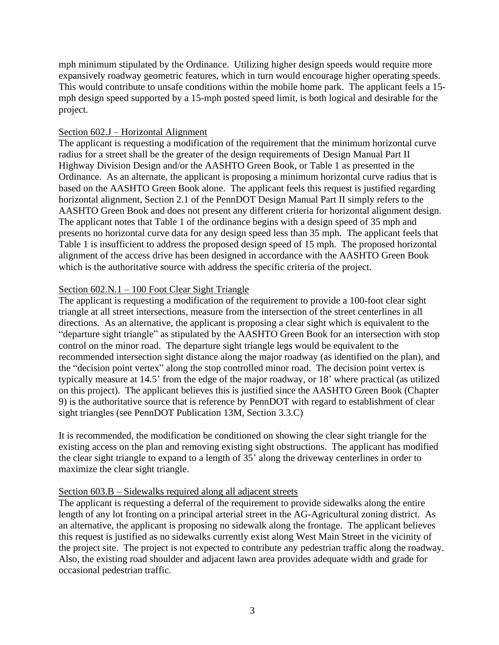mph minimum stipulated by the Ordinance. Utilizing higher design speeds would require more expansively roadway geometric features, which in turn would encourage higher operating speeds. This would contribute to unsafe conditions within the mobile home park. The applicant feels a 15 mph design speed supported by a 15-mph posted speed limit, is both logical and desirable for the project.

## Section 602.J – Horizontal Alignment

The applicant is requesting a modification of the requirement that the minimum horizontal curve radius for a street shall be the greater of the design requirements of Design Manual Part II Highway Division Design and/or the AASHTO Green Book, or Table 1 as presented in the Ordinance. As an alternate, the applicant is proposing a minimum horizontal curve radius that is based on the AASHTO Green Book alone. The applicant feels this request is justified regarding horizontal alignment, Section 2.1 of the PennDOT Design Manual Part II simply refers to the AASHTO Green Book and does not present any different criteria for horizontal alignment design. The applicant notes that Table 1 of the ordinance begins with a design speed of 35 mph and presents no horizontal curve data for any design speed less than 35 mph. The applicant feels that Table 1 is insufficient to address the proposed design speed of 15 mph. The proposed horizontal alignment of the access drive has been designed in accordance with the AASHTO Green Book which is the authoritative source with address the specific criteria of the project.

## Section 602.N.1 – 100 Foot Clear Sight Triangle

The applicant is requesting a modification of the requirement to provide a 100-foot clear sight triangle at all street intersections, measure from the intersection of the street centerlines in all directions. As an alternative, the applicant is proposing a clear sight which is equivalent to the "departure sight triangle" as stipulated by the AASHTO Green Book for an intersection with stop control on the minor road. The departure sight triangle legs would be equivalent to the recommended intersection sight distance along the major roadway (as identified on the plan), and the "decision point vertex" along the stop controlled minor road. The decision point vertex is typically measure at 14.5' from the edge of the major roadway, or 18' where practical (as utilized on this project). The applicant believes this is justified since the AASHTO Green Book (Chapter 9) is the authoritative source that is reference by PennDOT with regard to establishment of clear sight triangles (see PennDOT Publication 13M, Section 3.3.C)

It is recommended, the modification be conditioned on showing the clear sight triangle for the existing access on the plan and removing existing sight obstructions. The applicant has modified the clear sight triangle to expand to a length of 35' along the driveway centerlines in order to maximize the clear sight triangle.

## Section 603.B – Sidewalks required along all adjacent streets

The applicant is requesting a deferral of the requirement to provide sidewalks along the entire length of any lot fronting on a principal arterial street in the AG-Agricultural zoning district. As an alternative, the applicant is proposing no sidewalk along the frontage. The applicant believes this request is justified as no sidewalks currently exist along West Main Street in the vicinity of the project site. The project is not expected to contribute any pedestrian traffic along the roadway. Also, the existing road shoulder and adjacent lawn area provides adequate width and grade for occasional pedestrian traffic.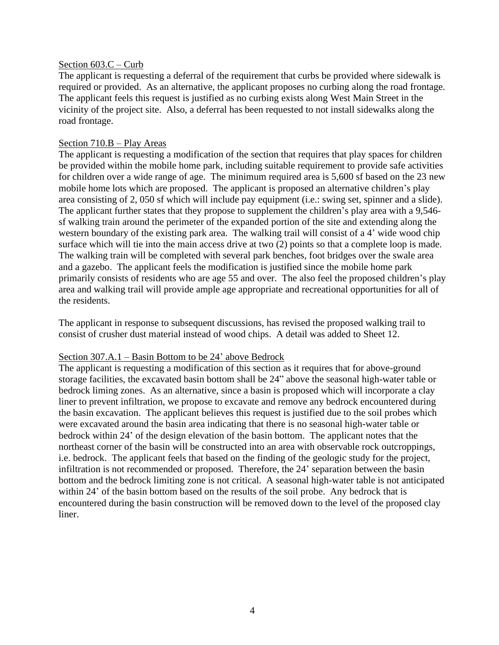#### Section 603.C – Curb

The applicant is requesting a deferral of the requirement that curbs be provided where sidewalk is required or provided. As an alternative, the applicant proposes no curbing along the road frontage. The applicant feels this request is justified as no curbing exists along West Main Street in the vicinity of the project site. Also, a deferral has been requested to not install sidewalks along the road frontage.

#### Section 710.B – Play Areas

The applicant is requesting a modification of the section that requires that play spaces for children be provided within the mobile home park, including suitable requirement to provide safe activities for children over a wide range of age. The minimum required area is 5,600 sf based on the 23 new mobile home lots which are proposed. The applicant is proposed an alternative children's play area consisting of 2, 050 sf which will include pay equipment (i.e.: swing set, spinner and a slide). The applicant further states that they propose to supplement the children's play area with a 9,546 sf walking train around the perimeter of the expanded portion of the site and extending along the western boundary of the existing park area. The walking trail will consist of a 4' wide wood chip surface which will tie into the main access drive at two  $(2)$  points so that a complete loop is made. The walking train will be completed with several park benches, foot bridges over the swale area and a gazebo. The applicant feels the modification is justified since the mobile home park primarily consists of residents who are age 55 and over. The also feel the proposed children's play area and walking trail will provide ample age appropriate and recreational opportunities for all of the residents.

The applicant in response to subsequent discussions, has revised the proposed walking trail to consist of crusher dust material instead of wood chips. A detail was added to Sheet 12.

#### Section 307.A.1 – Basin Bottom to be 24' above Bedrock

The applicant is requesting a modification of this section as it requires that for above-ground storage facilities, the excavated basin bottom shall be 24" above the seasonal high-water table or bedrock liming zones. As an alternative, since a basin is proposed which will incorporate a clay liner to prevent infiltration, we propose to excavate and remove any bedrock encountered during the basin excavation. The applicant believes this request is justified due to the soil probes which were excavated around the basin area indicating that there is no seasonal high-water table or bedrock within 24' of the design elevation of the basin bottom. The applicant notes that the northeast corner of the basin will be constructed into an area with observable rock outcroppings, i.e. bedrock. The applicant feels that based on the finding of the geologic study for the project, infiltration is not recommended or proposed. Therefore, the 24' separation between the basin bottom and the bedrock limiting zone is not critical. A seasonal high-water table is not anticipated within 24' of the basin bottom based on the results of the soil probe. Any bedrock that is encountered during the basin construction will be removed down to the level of the proposed clay liner.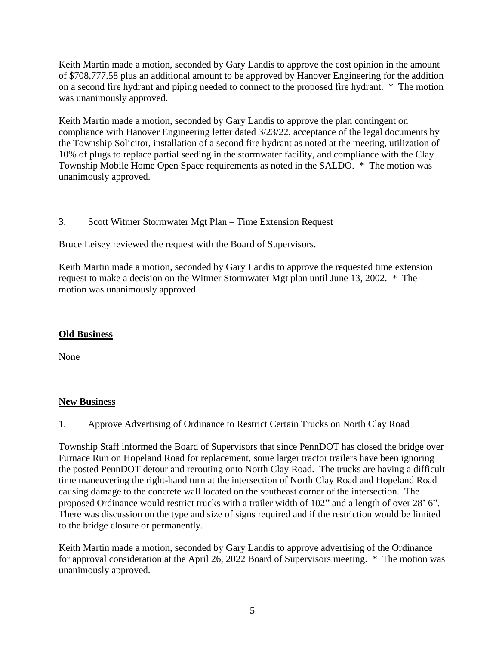Keith Martin made a motion, seconded by Gary Landis to approve the cost opinion in the amount of \$708,777.58 plus an additional amount to be approved by Hanover Engineering for the addition on a second fire hydrant and piping needed to connect to the proposed fire hydrant. \* The motion was unanimously approved.

Keith Martin made a motion, seconded by Gary Landis to approve the plan contingent on compliance with Hanover Engineering letter dated 3/23/22, acceptance of the legal documents by the Township Solicitor, installation of a second fire hydrant as noted at the meeting, utilization of 10% of plugs to replace partial seeding in the stormwater facility, and compliance with the Clay Township Mobile Home Open Space requirements as noted in the SALDO. \* The motion was unanimously approved.

3. Scott Witmer Stormwater Mgt Plan – Time Extension Request

Bruce Leisey reviewed the request with the Board of Supervisors.

Keith Martin made a motion, seconded by Gary Landis to approve the requested time extension request to make a decision on the Witmer Stormwater Mgt plan until June 13, 2002. \* The motion was unanimously approved.

# **Old Business**

None

# **New Business**

1. Approve Advertising of Ordinance to Restrict Certain Trucks on North Clay Road

Township Staff informed the Board of Supervisors that since PennDOT has closed the bridge over Furnace Run on Hopeland Road for replacement, some larger tractor trailers have been ignoring the posted PennDOT detour and rerouting onto North Clay Road. The trucks are having a difficult time maneuvering the right-hand turn at the intersection of North Clay Road and Hopeland Road causing damage to the concrete wall located on the southeast corner of the intersection. The proposed Ordinance would restrict trucks with a trailer width of 102" and a length of over 28' 6". There was discussion on the type and size of signs required and if the restriction would be limited to the bridge closure or permanently.

Keith Martin made a motion, seconded by Gary Landis to approve advertising of the Ordinance for approval consideration at the April 26, 2022 Board of Supervisors meeting. \* The motion was unanimously approved.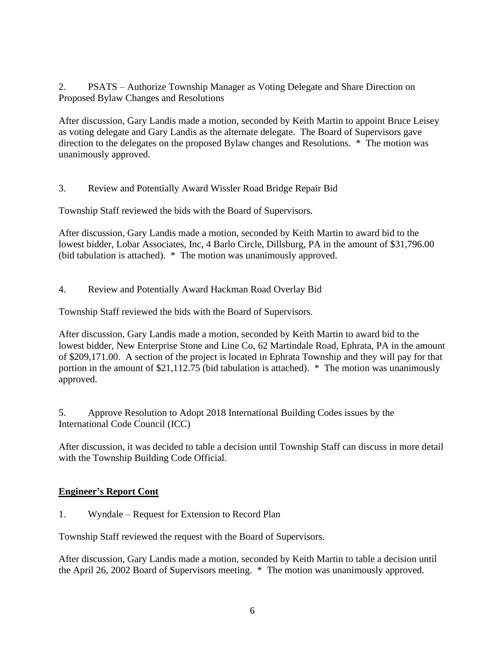2. PSATS – Authorize Township Manager as Voting Delegate and Share Direction on Proposed Bylaw Changes and Resolutions

After discussion, Gary Landis made a motion, seconded by Keith Martin to appoint Bruce Leisey as voting delegate and Gary Landis as the alternate delegate. The Board of Supervisors gave direction to the delegates on the proposed Bylaw changes and Resolutions. \* The motion was unanimously approved.

3. Review and Potentially Award Wissler Road Bridge Repair Bid

Township Staff reviewed the bids with the Board of Supervisors.

After discussion, Gary Landis made a motion, seconded by Keith Martin to award bid to the lowest bidder, Lobar Associates, Inc, 4 Barlo Circle, Dillsburg, PA in the amount of \$31,796.00 (bid tabulation is attached). \* The motion was unanimously approved.

4. Review and Potentially Award Hackman Road Overlay Bid

Township Staff reviewed the bids with the Board of Supervisors.

After discussion, Gary Landis made a motion, seconded by Keith Martin to award bid to the lowest bidder, New Enterprise Stone and Line Co, 62 Martindale Road, Ephrata, PA in the amount of \$209,171.00. A section of the project is located in Ephrata Township and they will pay for that portion in the amount of \$21,112.75 (bid tabulation is attached). \* The motion was unanimously approved.

5. Approve Resolution to Adopt 2018 International Building Codes issues by the International Code Council (ICC)

After discussion, it was decided to table a decision until Township Staff can discuss in more detail with the Township Building Code Official.

# **Engineer's Report Cont**

1. Wyndale – Request for Extension to Record Plan

Township Staff reviewed the request with the Board of Supervisors.

After discussion, Gary Landis made a motion, seconded by Keith Martin to table a decision until the April 26, 2002 Board of Supervisors meeting. \* The motion was unanimously approved.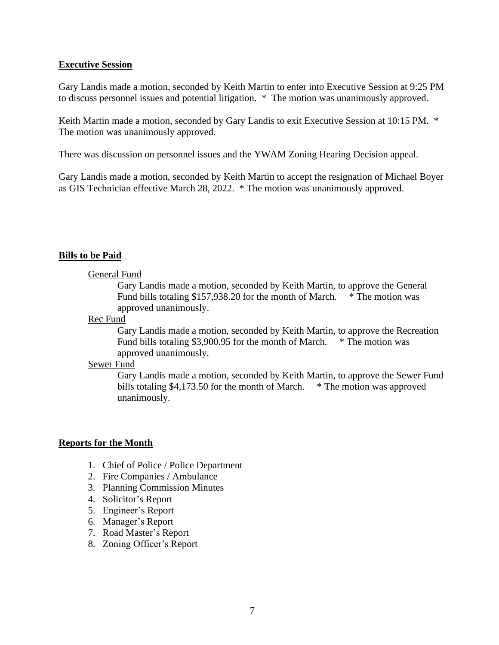#### **Executive Session**

Gary Landis made a motion, seconded by Keith Martin to enter into Executive Session at 9:25 PM to discuss personnel issues and potential litigation. \* The motion was unanimously approved.

Keith Martin made a motion, seconded by Gary Landis to exit Executive Session at 10:15 PM. \* The motion was unanimously approved.

There was discussion on personnel issues and the YWAM Zoning Hearing Decision appeal.

Gary Landis made a motion, seconded by Keith Martin to accept the resignation of Michael Boyer as GIS Technician effective March 28, 2022. \* The motion was unanimously approved.

## **Bills to be Paid**

#### General Fund

Gary Landis made a motion, seconded by Keith Martin, to approve the General Fund bills totaling \$157,938.20 for the month of March. \* The motion was approved unanimously.

#### Rec Fund

Gary Landis made a motion, seconded by Keith Martin, to approve the Recreation Fund bills totaling \$3,900.95 for the month of March. \* The motion was approved unanimously.

#### Sewer Fund

Gary Landis made a motion, seconded by Keith Martin, to approve the Sewer Fund bills totaling \$4,173.50 for the month of March. \* The motion was approved unanimously.

## **Reports for the Month**

- 1. Chief of Police / Police Department
- 2. Fire Companies / Ambulance
- 3. Planning Commission Minutes
- 4. Solicitor's Report
- 5. Engineer's Report
- 6. Manager's Report
- 7. Road Master's Report
- 8. Zoning Officer's Report